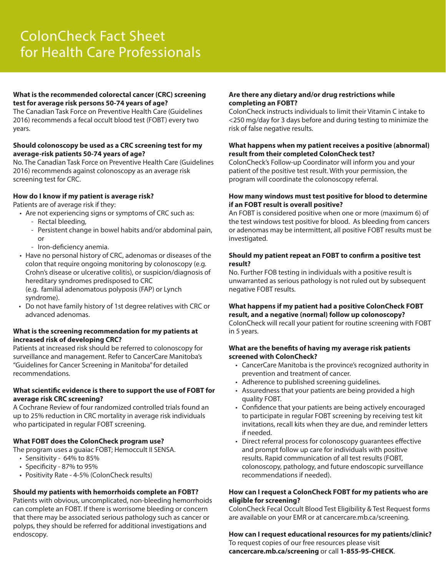#### **What is the recommended colorectal cancer (CRC) screening test for average risk persons 50-74 years of age?**

The Canadian Task Force on Preventive Health Care (Guidelines 2016) recommends a fecal occult blood test (FOBT) every two years.

#### **Should colonoscopy be used as a CRC screening test for my average-risk patients 50-74 years of age?**

No. The Canadian Task Force on Preventive Health Care (Guidelines 2016) recommends against colonoscopy as an average risk screening test for CRC.

#### **How do I know if my patient is average risk?**

Patients are of average risk if they:

- Are not experiencing signs or symptoms of CRC such as: - Rectal bleeding,
	- Persistent change in bowel habits and/or abdominal pain, or
	- Iron-deficiency anemia.
- Have no personal history of CRC, adenomas or diseases of the colon that require ongoing monitoring by colonoscopy (e.g. Crohn's disease or ulcerative colitis), or suspicion/diagnosis of hereditary syndromes predisposed to CRC (e.g. familial adenomatous polyposis (FAP) or Lynch syndrome).
- Do not have family history of 1st degree relatives with CRC or advanced adenomas.

#### **What is the screening recommendation for my patients at increased risk of developing CRC?**

Patients at increased risk should be referred to colonoscopy for surveillance and management. Refer to CancerCare Manitoba's "Guidelines for Cancer Screening in Manitoba" for detailed recommendations.

#### **What scientific evidence is there to support the use of FOBT for average risk CRC screening?**

A Cochrane Review of four randomized controlled trials found an up to 25% reduction in CRC mortality in average risk individuals who participated in regular FOBT screening.

#### **What FOBT does the ColonCheck program use?**

The program uses a guaiac FOBT; Hemoccult II SENSA.

- Sensitivity 64% to 85%
- Specificity 87% to 95%
- Positivity Rate 4-5% (ColonCheck results)

# **Should my patients with hemorrhoids complete an FOBT?**

Patients with obvious, uncomplicated, non-bleeding hemorrhoids can complete an FOBT. If there is worrisome bleeding or concern that there may be associated serious pathology such as cancer or polyps, they should be referred for additional investigations and endoscopy.

#### **Are there any dietary and/or drug restrictions while completing an FOBT?**

ColonCheck instructs individuals to limit their Vitamin C intake to <250 mg/day for 3 days before and during testing to minimize the risk of false negative results.

### **What happens when my patient receives a positive (abnormal) result from their completed ColonCheck test?**

ColonCheck's Follow-up Coordinator will inform you and your patient of the positive test result. With your permission, the program will coordinate the colonoscopy referral.

#### **How many windows must test positive for blood to determine if an FOBT result is overall positive?**

An FOBT is considered positive when one or more (maximum 6) of the test windows test positive for blood. As bleeding from cancers or adenomas may be intermittent, all positive FOBT results must be investigated.

#### **Should my patient repeat an FOBT to confirm a positive test result?**

No. Further FOB testing in individuals with a positive result is unwarranted as serious pathology is not ruled out by subsequent negative FOBT results.

## **What happens if my patient had a positive ColonCheck FOBT result, and a negative (normal) follow up colonoscopy?**

ColonCheck will recall your patient for routine screening with FOBT in 5 years.

#### **What are the benefits of having my average risk patients screened with ColonCheck?**

- CancerCare Manitoba is the province's recognized authority in prevention and treatment of cancer.
- Adherence to published screening guidelines.
- Assuredness that your patients are being provided a high quality FOBT.
- Confidence that your patients are being actively encouraged to participate in regular FOBT screening by receiving test kit invitations, recall kits when they are due, and reminder letters if needed.
- Direct referral process for colonoscopy guarantees effective and prompt follow up care for individuals with positive results. Rapid communication of all test results (FOBT, colonoscopy, pathology, and future endoscopic surveillance recommendations if needed).

#### **How can I request a ColonCheck FOBT for my patients who are eligible for screening?**

ColonCheck Fecal Occult Blood Test Eligibility & Test Request forms are available on your EMR or at cancercare.mb.ca/screening.

# **How can I request educational resources for my patients/clinic?**

To request copies of our free resources please visit **cancercare.mb.ca/screening** or call **1-855-95-CHECK**.